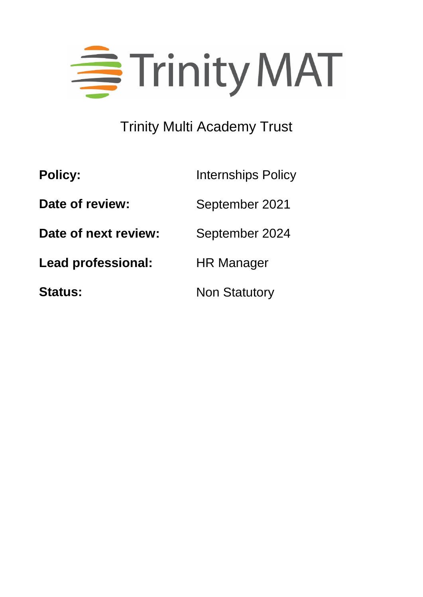

# Trinity Multi Academy Trust

| <b>Policy:</b>       | <b>Internships Policy</b> |
|----------------------|---------------------------|
| Date of review:      | September 2021            |
| Date of next review: | September 2024            |
| Lead professional:   | <b>HR Manager</b>         |
| <b>Status:</b>       | <b>Non Statutory</b>      |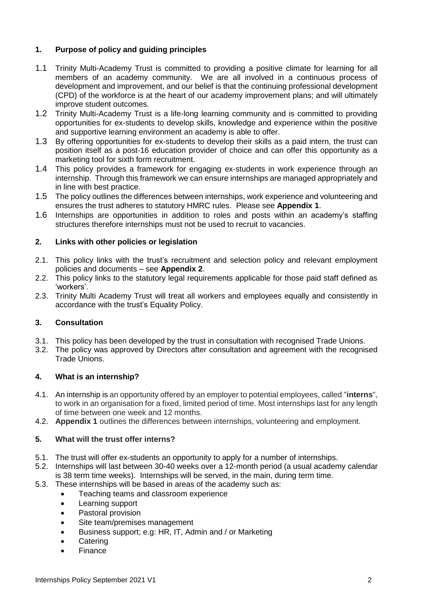#### **1. Purpose of policy and guiding principles**

- 1.1 Trinity Multi-Academy Trust is committed to providing a positive climate for learning for all members of an academy community. We are all involved in a continuous process of development and improvement, and our belief is that the continuing professional development (CPD) of the workforce is at the heart of our academy improvement plans; and will ultimately improve student outcomes.
- 1.2 Trinity Multi-Academy Trust is a life-long learning community and is committed to providing opportunities for ex-students to develop skills, knowledge and experience within the positive and supportive learning environment an academy is able to offer.
- 1.3 By offering opportunities for ex-students to develop their skills as a paid intern, the trust can position itself as a post-16 education provider of choice and can offer this opportunity as a marketing tool for sixth form recruitment.
- 1.4 This policy provides a framework for engaging ex-students in work experience through an internship. Through this framework we can ensure internships are managed appropriately and in line with best practice.
- 1.5 The policy outlines the differences between internships, work experience and volunteering and ensures the trust adheres to statutory HMRC rules. Please see **Appendix 1**.
- 1.6 Internships are opportunities in addition to roles and posts within an academy's staffing structures therefore internships must not be used to recruit to vacancies.

#### **2. Links with other policies or legislation**

- 2.1. This policy links with the trust's recruitment and selection policy and relevant employment policies and documents – see **Appendix 2**.
- 2.2. This policy links to the statutory legal requirements applicable for those paid staff defined as 'workers'.
- 2.3. Trinity Multi Academy Trust will treat all workers and employees equally and consistently in accordance with the trust's Equality Policy.

#### **3. Consultation**

- 3.1. This policy has been developed by the trust in consultation with recognised Trade Unions.
- 3.2. The policy was approved by Directors after consultation and agreement with the recognised Trade Unions.

#### **4. What is an internship?**

- 4.1. An internship is an opportunity offered by an employer to potential employees, called "**interns**", to work in an organisation for a fixed, limited period of time. Most internships last for any length of time between one week and 12 months.
- 4.2. **Appendix 1** outlines the differences between internships, volunteering and employment.

#### **5. What will the trust offer interns?**

- 5.1. The trust will offer ex-students an opportunity to apply for a number of internships.
- 5.2. Internships will last between 30-40 weeks over a 12-month period (a usual academy calendar is 38 term time weeks). Internships will be served, in the main, during term time.
- 5.3. These internships will be based in areas of the academy such as:
	- Teaching teams and classroom experience
	- Learning support
	- Pastoral provision
	- Site team/premises management
	- Business support; e.g: HR, IT, Admin and / or Marketing
	- **Catering**
	- Finance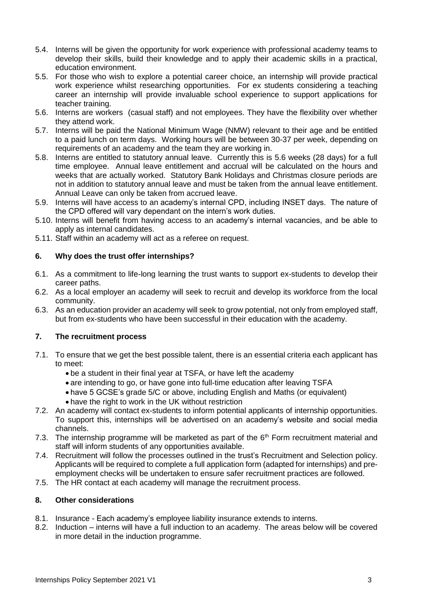- 5.4. Interns will be given the opportunity for work experience with professional academy teams to develop their skills, build their knowledge and to apply their academic skills in a practical, education environment.
- 5.5. For those who wish to explore a potential career choice, an internship will provide practical work experience whilst researching opportunities. For ex students considering a teaching career an internship will provide invaluable school experience to support applications for teacher training.
- 5.6. Interns are workers (casual staff) and not employees. They have the flexibility over whether they attend work.
- 5.7. Interns will be paid the National Minimum Wage (NMW) relevant to their age and be entitled to a paid lunch on term days. Working hours will be between 30-37 per week, depending on requirements of an academy and the team they are working in.
- 5.8. Interns are entitled to statutory annual leave. Currently this is 5.6 weeks (28 days) for a full time employee. Annual leave entitlement and accrual will be calculated on the hours and weeks that are actually worked. Statutory Bank Holidays and Christmas closure periods are not in addition to statutory annual leave and must be taken from the annual leave entitlement. Annual Leave can only be taken from accrued leave.
- 5.9. Interns will have access to an academy's internal CPD, including INSET days. The nature of the CPD offered will vary dependant on the intern's work duties.
- 5.10. Interns will benefit from having access to an academy's internal vacancies, and be able to apply as internal candidates.
- 5.11. Staff within an academy will act as a referee on request.

#### **6. Why does the trust offer internships?**

- 6.1. As a commitment to life-long learning the trust wants to support ex-students to develop their career paths.
- 6.2. As a local employer an academy will seek to recruit and develop its workforce from the local community.
- 6.3. As an education provider an academy will seek to grow potential, not only from employed staff, but from ex-students who have been successful in their education with the academy.

#### **7. The recruitment process**

- 7.1. To ensure that we get the best possible talent, there is an essential criteria each applicant has to meet:
	- be a student in their final year at TSFA, or have left the academy
	- are intending to go, or have gone into full-time education after leaving TSFA
	- have 5 GCSE's grade 5/C or above, including English and Maths (or equivalent)
	- have the right to work in the UK without restriction
- 7.2. An academy will contact ex-students to inform potential applicants of internship opportunities. To support this, internships will be advertised on an academy's website and social media channels.
- 7.3. The internship programme will be marketed as part of the  $6<sup>th</sup>$  Form recruitment material and staff will inform students of any opportunities available.
- 7.4. Recruitment will follow the processes outlined in the trust's Recruitment and Selection policy. Applicants will be required to complete a full application form (adapted for internships) and preemployment checks will be undertaken to ensure safer recruitment practices are followed.
- 7.5. The HR contact at each academy will manage the recruitment process.

#### **8. Other considerations**

- 8.1. Insurance Each academy's employee liability insurance extends to interns.
- 8.2. Induction interns will have a full induction to an academy. The areas below will be covered in more detail in the induction programme.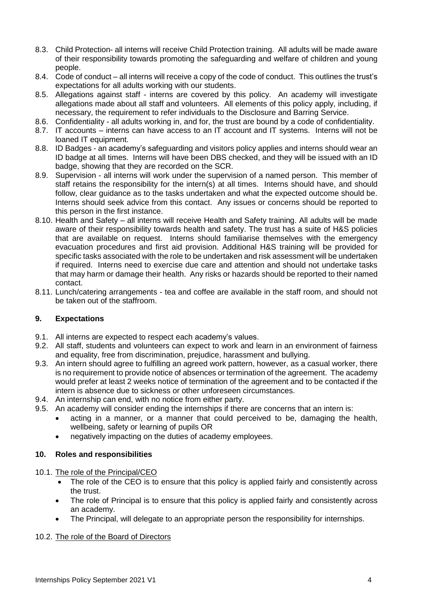- 8.3. Child Protection- all interns will receive Child Protection training. All adults will be made aware of their responsibility towards promoting the safeguarding and welfare of children and young people.
- 8.4. Code of conduct all interns will receive a copy of the code of conduct. This outlines the trust's expectations for all adults working with our students.
- 8.5. Allegations against staff interns are covered by this policy. An academy will investigate allegations made about all staff and volunteers. All elements of this policy apply, including, if necessary, the requirement to refer individuals to the Disclosure and Barring Service.
- 8.6. Confidentiality all adults working in, and for, the trust are bound by a code of confidentiality.
- 8.7. IT accounts interns can have access to an IT account and IT systems. Interns will not be loaned IT equipment.
- 8.8. ID Badges an academy's safeguarding and visitors policy applies and interns should wear an ID badge at all times. Interns will have been DBS checked, and they will be issued with an ID badge, showing that they are recorded on the SCR.
- 8.9. Supervision all interns will work under the supervision of a named person. This member of staff retains the responsibility for the intern(s) at all times. Interns should have, and should follow, clear guidance as to the tasks undertaken and what the expected outcome should be. Interns should seek advice from this contact. Any issues or concerns should be reported to this person in the first instance.
- 8.10. Health and Safety all interns will receive Health and Safety training. All adults will be made aware of their responsibility towards health and safety. The trust has a suite of H&S policies that are available on request. Interns should familiarise themselves with the emergency evacuation procedures and first aid provision. Additional H&S training will be provided for specific tasks associated with the role to be undertaken and risk assessment will be undertaken if required. Interns need to exercise due care and attention and should not undertake tasks that may harm or damage their health. Any risks or hazards should be reported to their named contact.
- 8.11. Lunch/catering arrangements tea and coffee are available in the staff room, and should not be taken out of the staffroom.

#### **9. Expectations**

- 9.1. All interns are expected to respect each academy's values.
- 9.2. All staff, students and volunteers can expect to work and learn in an environment of fairness and equality, free from discrimination, prejudice, harassment and bullying.
- 9.3. An intern should agree to fulfilling an agreed work pattern, however, as a casual worker, there is no requirement to provide notice of absences or termination of the agreement. The academy would prefer at least 2 weeks notice of termination of the agreement and to be contacted if the intern is absence due to sickness or other unforeseen circumstances.
- 9.4. An internship can end, with no notice from either party.
- 9.5. An academy will consider ending the internships if there are concerns that an intern is:
	- acting in a manner, or a manner that could perceived to be, damaging the health, wellbeing, safety or learning of pupils OR
	- negatively impacting on the duties of academy employees.

#### **10. Roles and responsibilities**

10.1. The role of the Principal/CEO

- The role of the CEO is to ensure that this policy is applied fairly and consistently across the trust.
- The role of Principal is to ensure that this policy is applied fairly and consistently across an academy.
- The Principal, will delegate to an appropriate person the responsibility for internships.

#### 10.2. The role of the Board of Directors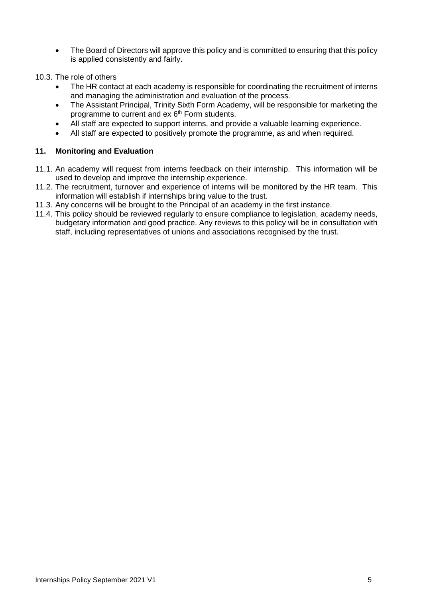- The Board of Directors will approve this policy and is committed to ensuring that this policy is applied consistently and fairly.
- 10.3. The role of others
	- The HR contact at each academy is responsible for coordinating the recruitment of interns and managing the administration and evaluation of the process.
	- The Assistant Principal, Trinity Sixth Form Academy, will be responsible for marketing the programme to current and ex 6<sup>th</sup> Form students.
	- All staff are expected to support interns, and provide a valuable learning experience.
	- All staff are expected to positively promote the programme, as and when required.

#### **11. Monitoring and Evaluation**

- 11.1. An academy will request from interns feedback on their internship. This information will be used to develop and improve the internship experience.
- 11.2. The recruitment, turnover and experience of interns will be monitored by the HR team. This information will establish if internships bring value to the trust.
- 11.3. Any concerns will be brought to the Principal of an academy in the first instance.
- 11.4. This policy should be reviewed regularly to ensure compliance to legislation, academy needs, budgetary information and good practice. Any reviews to this policy will be in consultation with staff, including representatives of unions and associations recognised by the trust.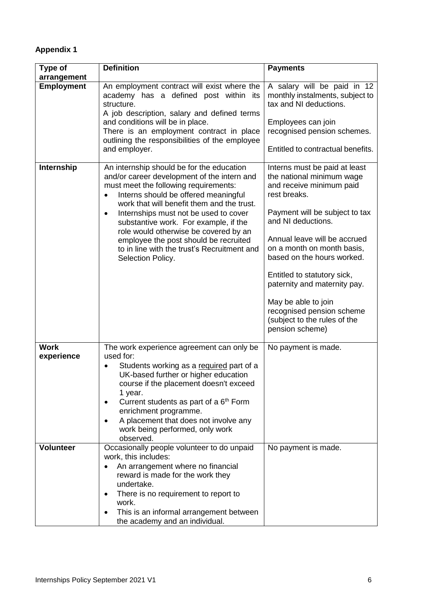### **Appendix 1**

| Type of                   | <b>Definition</b>                                                                                                                                                                                                                                                                                                                                                                                                                                                            | <b>Payments</b>                                                                                                                                                                                                                                                                                                                                                                                                                  |
|---------------------------|------------------------------------------------------------------------------------------------------------------------------------------------------------------------------------------------------------------------------------------------------------------------------------------------------------------------------------------------------------------------------------------------------------------------------------------------------------------------------|----------------------------------------------------------------------------------------------------------------------------------------------------------------------------------------------------------------------------------------------------------------------------------------------------------------------------------------------------------------------------------------------------------------------------------|
| arrangement               |                                                                                                                                                                                                                                                                                                                                                                                                                                                                              |                                                                                                                                                                                                                                                                                                                                                                                                                                  |
| <b>Employment</b>         | An employment contract will exist where the<br>academy has a defined post within its<br>structure.<br>A job description, salary and defined terms<br>and conditions will be in place.<br>There is an employment contract in place<br>outlining the responsibilities of the employee<br>and employer.                                                                                                                                                                         | A salary will be paid in 12<br>monthly instalments, subject to<br>tax and NI deductions.<br>Employees can join<br>recognised pension schemes.<br>Entitled to contractual benefits.                                                                                                                                                                                                                                               |
| Internship                | An internship should be for the education<br>and/or career development of the intern and<br>must meet the following requirements:<br>Interns should be offered meaningful<br>work that will benefit them and the trust.<br>Internships must not be used to cover<br>$\bullet$<br>substantive work. For example, if the<br>role would otherwise be covered by an<br>employee the post should be recruited<br>to in line with the trust's Recruitment and<br>Selection Policy. | Interns must be paid at least<br>the national minimum wage<br>and receive minimum paid<br>rest breaks.<br>Payment will be subject to tax<br>and NI deductions.<br>Annual leave will be accrued<br>on a month on month basis,<br>based on the hours worked.<br>Entitled to statutory sick,<br>paternity and maternity pay.<br>May be able to join<br>recognised pension scheme<br>(subject to the rules of the<br>pension scheme) |
| <b>Work</b><br>experience | The work experience agreement can only be<br>used for:<br>Students working as a required part of a<br>UK-based further or higher education<br>course if the placement doesn't exceed<br>1 year.<br>Current students as part of a 6 <sup>th</sup> Form<br>$\bullet$<br>enrichment programme.<br>A placement that does not involve any<br>$\bullet$<br>work being performed, only work<br>observed.                                                                            | No payment is made.                                                                                                                                                                                                                                                                                                                                                                                                              |
| <b>Volunteer</b>          | Occasionally people volunteer to do unpaid<br>work, this includes:<br>An arrangement where no financial<br>reward is made for the work they<br>undertake.<br>There is no requirement to report to<br>$\bullet$<br>work.<br>This is an informal arrangement between<br>$\bullet$<br>the academy and an individual.                                                                                                                                                            | No payment is made.                                                                                                                                                                                                                                                                                                                                                                                                              |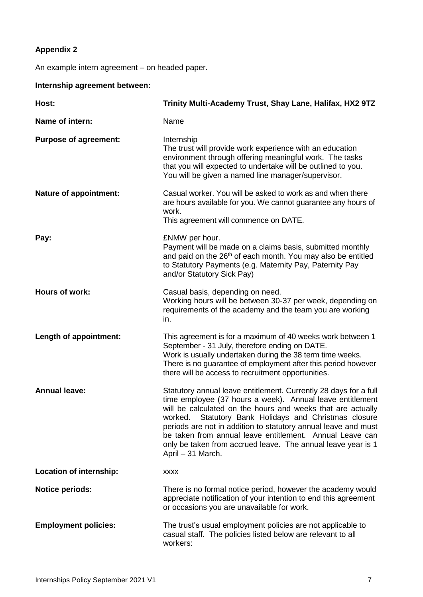# **Appendix 2**

An example intern agreement – on headed paper.

## **Internship agreement between:**

| Host:                          | Trinity Multi-Academy Trust, Shay Lane, Halifax, HX2 9TZ                                                                                                                                                                                                                                                                                                                                                                                                                    |
|--------------------------------|-----------------------------------------------------------------------------------------------------------------------------------------------------------------------------------------------------------------------------------------------------------------------------------------------------------------------------------------------------------------------------------------------------------------------------------------------------------------------------|
| Name of intern:                | Name                                                                                                                                                                                                                                                                                                                                                                                                                                                                        |
| <b>Purpose of agreement:</b>   | Internship<br>The trust will provide work experience with an education<br>environment through offering meaningful work. The tasks<br>that you will expected to undertake will be outlined to you.<br>You will be given a named line manager/supervisor.                                                                                                                                                                                                                     |
| <b>Nature of appointment:</b>  | Casual worker. You will be asked to work as and when there<br>are hours available for you. We cannot guarantee any hours of<br>work.<br>This agreement will commence on DATE.                                                                                                                                                                                                                                                                                               |
| Pay:                           | £NMW per hour.<br>Payment will be made on a claims basis, submitted monthly<br>and paid on the 26 <sup>th</sup> of each month. You may also be entitled<br>to Statutory Payments (e.g. Maternity Pay, Paternity Pay<br>and/or Statutory Sick Pay)                                                                                                                                                                                                                           |
| Hours of work:                 | Casual basis, depending on need.<br>Working hours will be between 30-37 per week, depending on<br>requirements of the academy and the team you are working<br>in.                                                                                                                                                                                                                                                                                                           |
| Length of appointment:         | This agreement is for a maximum of 40 weeks work between 1<br>September - 31 July, therefore ending on DATE.<br>Work is usually undertaken during the 38 term time weeks.<br>There is no guarantee of employment after this period however<br>there will be access to recruitment opportunities.                                                                                                                                                                            |
| <b>Annual leave:</b>           | Statutory annual leave entitlement. Currently 28 days for a full<br>time employee (37 hours a week). Annual leave entitlement<br>will be calculated on the hours and weeks that are actually<br>Statutory Bank Holidays and Christmas closure<br>worked.<br>periods are not in addition to statutory annual leave and must<br>be taken from annual leave entitlement. Annual Leave can<br>only be taken from accrued leave. The annual leave year is 1<br>April - 31 March. |
| <b>Location of internship:</b> | <b>XXXX</b>                                                                                                                                                                                                                                                                                                                                                                                                                                                                 |
| <b>Notice periods:</b>         | There is no formal notice period, however the academy would<br>appreciate notification of your intention to end this agreement<br>or occasions you are unavailable for work.                                                                                                                                                                                                                                                                                                |
| <b>Employment policies:</b>    | The trust's usual employment policies are not applicable to<br>casual staff. The policies listed below are relevant to all<br>workers:                                                                                                                                                                                                                                                                                                                                      |